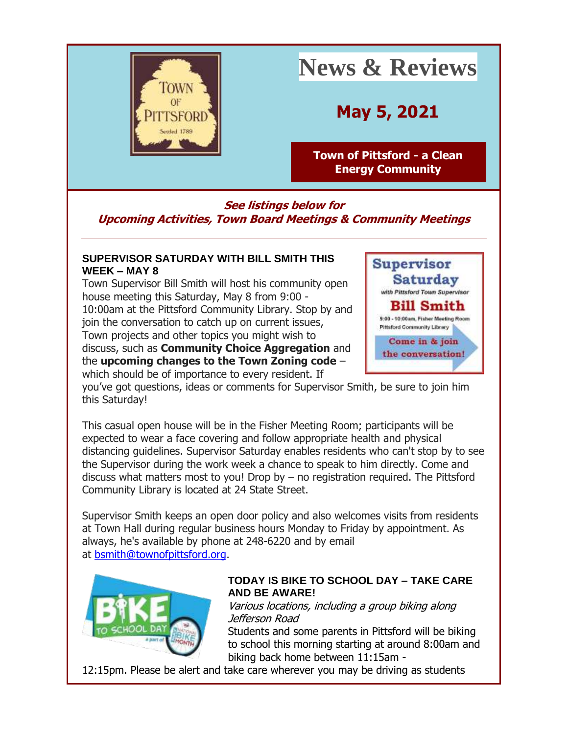

# **News & Reviews**

**May 5, 2021**

**[Town of Pittsford -](http://r20.rs6.net/tn.jsp?f=001NYI16H4snqhSzTAp5nrnPiHRTCTrTwaiMoQF4j0Bp5k0JETJFHYQROXOd_Q6tz07CnGfHU4bZXVPCmuDqcSviCJyG58zG3zQOx6iWjdMJ4KuQQX2JhAKC_bY5hdfVLVYj9wm25-KqifAP3Kn6DSWdTBmkWDF0s4F&c=ykit7nPXPIJyr3tK9sNR2fIebVmLCzJda29hAUs83d7SOl7OzWwXfQ==&ch=6I7oEkQO8kfUmttsr_CP-pqPsRKEqycufyOaF31MyBgKFWJD_3ZUSQ==&jrc=1) a Clean [Energy Community](http://r20.rs6.net/tn.jsp?f=001NYI16H4snqhSzTAp5nrnPiHRTCTrTwaiMoQF4j0Bp5k0JETJFHYQROXOd_Q6tz07CnGfHU4bZXVPCmuDqcSviCJyG58zG3zQOx6iWjdMJ4KuQQX2JhAKC_bY5hdfVLVYj9wm25-KqifAP3Kn6DSWdTBmkWDF0s4F&c=ykit7nPXPIJyr3tK9sNR2fIebVmLCzJda29hAUs83d7SOl7OzWwXfQ==&ch=6I7oEkQO8kfUmttsr_CP-pqPsRKEqycufyOaF31MyBgKFWJD_3ZUSQ==&jrc=1)**

**Supervisor** 

**Saturday** with Pittsford Town Supervisor Bill Smith

**See listings below for Upcoming Activities, Town Board Meetings & Community Meetings**

#### **SUPERVISOR SATURDAY WITH BILL SMITH THIS WEEK – MAY 8**

Town Supervisor Bill Smith will host his community open house meeting this Saturday, May 8 from 9:00 - 10:00am at the Pittsford Community Library. Stop by and join the conversation to catch up on current issues, Town projects and other topics you might wish to discuss, such as **Community Choice Aggregation** and the **upcoming changes to the Town Zoning code** – which should be of importance to every resident. If



you've got questions, ideas or comments for Supervisor Smith, be sure to join him this Saturday!

This casual open house will be in the Fisher Meeting Room; participants will be expected to wear a face covering and follow appropriate health and physical distancing guidelines. Supervisor Saturday enables residents who can't stop by to see the Supervisor during the work week a chance to speak to him directly. Come and discuss what matters most to you! Drop by – no registration required. The Pittsford Community Library is located at 24 State Street.

Supervisor Smith keeps an open door policy and also welcomes visits from residents at Town Hall during regular business hours Monday to Friday by appointment. As always, he's available by phone at 248-6220 and by email at [bsmith@townofpittsford.org.](mailto:bsmith@townofpittsford.org)



#### **TODAY IS BIKE TO SCHOOL DAY – TAKE CARE AND BE AWARE!**

Various locations, including a group biking along Jefferson Road

Students and some parents in Pittsford will be biking to school this morning starting at around 8:00am and biking back home between 11:15am -

12:15pm. Please be alert and take care wherever you may be driving as students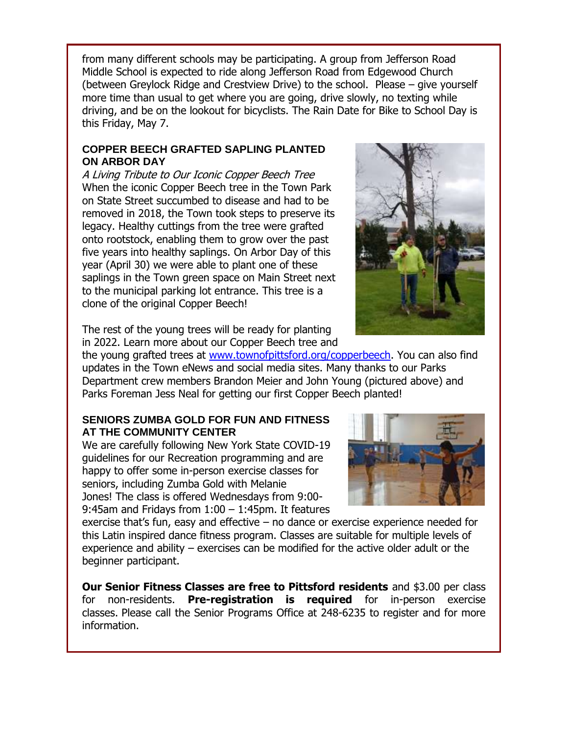from many different schools may be participating. A group from Jefferson Road Middle School is expected to ride along Jefferson Road from Edgewood Church (between Greylock Ridge and Crestview Drive) to the school. Please – give yourself more time than usual to get where you are going, drive slowly, no texting while driving, and be on the lookout for bicyclists. The Rain Date for Bike to School Day is this Friday, May 7.

#### **COPPER BEECH GRAFTED SAPLING PLANTED ON ARBOR DAY**

A Living Tribute to Our Iconic Copper Beech Tree When the iconic Copper Beech tree in the Town Park on State Street succumbed to disease and had to be removed in 2018, the Town took steps to preserve its legacy. Healthy cuttings from the tree were grafted onto rootstock, enabling them to grow over the past five years into healthy saplings. On Arbor Day of this year (April 30) we were able to plant one of these saplings in the Town green space on Main Street next to the municipal parking lot entrance. This tree is a clone of the original Copper Beech!



The rest of the young trees will be ready for planting in 2022. Learn more about our Copper Beech tree and

the young grafted trees at [www.townofpittsford.org/copperbeech.](http://r20.rs6.net/tn.jsp?f=001NYI16H4snqhSzTAp5nrnPiHRTCTrTwaiMoQF4j0Bp5k0JETJFHYQRG6ex-wzq6XscRczDKDdc_bBekzDGkUcawqXt4SGYA-R0HAT0L10_b-TQ8Q_mEA4CKvpX8lRKhl_4oMwR0dN1d8U4MCepWrZdcnoNSJcvAnSHs7zRtll784=&c=ykit7nPXPIJyr3tK9sNR2fIebVmLCzJda29hAUs83d7SOl7OzWwXfQ==&ch=6I7oEkQO8kfUmttsr_CP-pqPsRKEqycufyOaF31MyBgKFWJD_3ZUSQ==&jrc=1) You can also find updates in the Town eNews and social media sites. Many thanks to our Parks Department crew members Brandon Meier and John Young (pictured above) and Parks Foreman Jess Neal for getting our first Copper Beech planted!

#### **SENIORS ZUMBA GOLD FOR FUN AND FITNESS AT THE COMMUNITY CENTER**

We are carefully following New York State COVID-19 guidelines for our Recreation programming and are happy to offer some in-person exercise classes for seniors, including Zumba Gold with Melanie Jones! The class is offered Wednesdays from 9:00- 9:45am and Fridays from 1:00 – 1:45pm. It features



exercise that's fun, easy and effective – no dance or exercise experience needed for this Latin inspired dance fitness program. Classes are suitable for multiple levels of experience and ability – exercises can be modified for the active older adult or the beginner participant.

**Our Senior Fitness Classes are free to Pittsford residents** and \$3.00 per class for non-residents. **Pre-registration is required** for in-person exercise classes. Please call the Senior Programs Office at 248-6235 to register and for more information.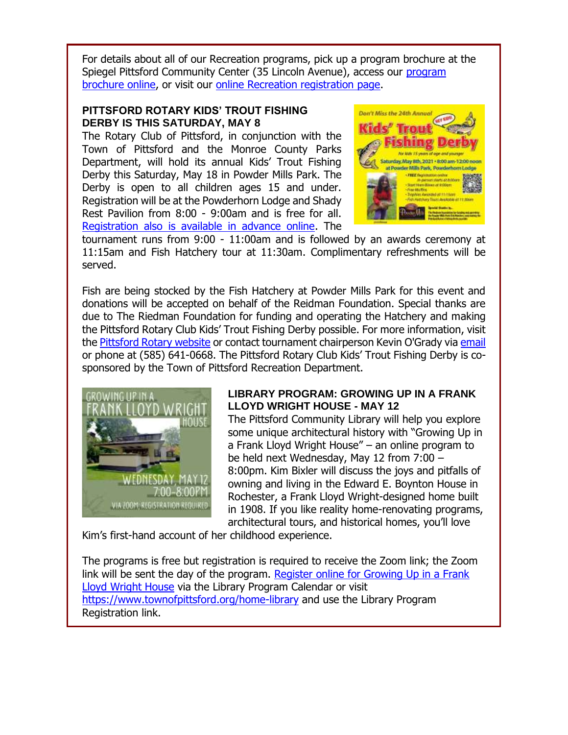For details about all of our Recreation programs, pick up a program brochure at the Spiegel Pittsford Community Center (35 Lincoln Avenue), access our [program](http://r20.rs6.net/tn.jsp?f=001NYI16H4snqhSzTAp5nrnPiHRTCTrTwaiMoQF4j0Bp5k0JETJFHYQRN4u64vWt238vM4k-tweGimHZC0uVRRxIiNkbW-RjbJ2RKqDwtDN8PvXR6FziBU65bluq27NuCWv1YXSUMbgggA0jpZxGAa0njWgXyR5pCI5CKsYIY2nOK5-1BAvpNlNlcp3s_mWlry8zKrWgGIB8GI=&c=ykit7nPXPIJyr3tK9sNR2fIebVmLCzJda29hAUs83d7SOl7OzWwXfQ==&ch=6I7oEkQO8kfUmttsr_CP-pqPsRKEqycufyOaF31MyBgKFWJD_3ZUSQ==&jrc=1)  [brochure online,](http://r20.rs6.net/tn.jsp?f=001NYI16H4snqhSzTAp5nrnPiHRTCTrTwaiMoQF4j0Bp5k0JETJFHYQRN4u64vWt238vM4k-tweGimHZC0uVRRxIiNkbW-RjbJ2RKqDwtDN8PvXR6FziBU65bluq27NuCWv1YXSUMbgggA0jpZxGAa0njWgXyR5pCI5CKsYIY2nOK5-1BAvpNlNlcp3s_mWlry8zKrWgGIB8GI=&c=ykit7nPXPIJyr3tK9sNR2fIebVmLCzJda29hAUs83d7SOl7OzWwXfQ==&ch=6I7oEkQO8kfUmttsr_CP-pqPsRKEqycufyOaF31MyBgKFWJD_3ZUSQ==&jrc=1) or visit our [online Recreation registration page.](http://r20.rs6.net/tn.jsp?f=001NYI16H4snqhSzTAp5nrnPiHRTCTrTwaiMoQF4j0Bp5k0JETJFHYQRCDGMd09S1MXqo_x6QkhDEBQ5Jh5q-XfjasnIp5O-JG2DEJnO7DvrC9z0r-fuHFfuEN1gzFNUC-RXLtO7Y_732pTHScKqrsHy-fFUHdnZEPPKDqZe_P17coR5C4U0c5QBfpBTeDaeeBul11KjilyQ8Iq9_z4FeUfhg==&c=ykit7nPXPIJyr3tK9sNR2fIebVmLCzJda29hAUs83d7SOl7OzWwXfQ==&ch=6I7oEkQO8kfUmttsr_CP-pqPsRKEqycufyOaF31MyBgKFWJD_3ZUSQ==&jrc=1)

#### **PITTSFORD ROTARY KIDS' TROUT FISHING DERBY IS THIS SATURDAY, MAY 8**

The Rotary Club of Pittsford, in conjunction with the Town of Pittsford and the Monroe County Parks Department, will hold its annual Kids' Trout Fishing Derby this Saturday, May 18 in Powder Mills Park. The Derby is open to all children ages 15 and under. Registration will be at the Powderhorn Lodge and Shady Rest Pavilion from 8:00 - 9:00am and is free for all. [Registration also is available in advance online.](http://r20.rs6.net/tn.jsp?f=001NYI16H4snqhSzTAp5nrnPiHRTCTrTwaiMoQF4j0Bp5k0JETJFHYQRHIx2CU3La91zEB7kojH5Y9dFlIJo9fkl5BfrwY1hl08wy3XBIknNq9dXxQV-2vRl541kRrvsxPXVbWyfe6vFu-NXSNl7nytaX9GGe7B5bZsF__V4MULaC2EWly3LbcGRnsbQI3fMrNa553skCcOzUuykf-7cRGPuLoNuo4AOAjgIeL_5whkXr-8t3xVP7HYENVcBk5y1JUSk4O3-uUfETPQMJVDDrWwWw==&c=ykit7nPXPIJyr3tK9sNR2fIebVmLCzJda29hAUs83d7SOl7OzWwXfQ==&ch=6I7oEkQO8kfUmttsr_CP-pqPsRKEqycufyOaF31MyBgKFWJD_3ZUSQ==&jrc=1) The



tournament runs from 9:00 - 11:00am and is followed by an awards ceremony at 11:15am and Fish Hatchery tour at 11:30am. Complimentary refreshments will be served.

Fish are being stocked by the Fish Hatchery at Powder Mills Park for this event and donations will be accepted on behalf of the Reidman Foundation. Special thanks are due to The Riedman Foundation for funding and operating the Hatchery and making the Pittsford Rotary Club Kids' Trout Fishing Derby possible. For more information, visit the [Pittsford Rotary website](http://r20.rs6.net/tn.jsp?f=001NYI16H4snqhSzTAp5nrnPiHRTCTrTwaiMoQF4j0Bp5k0JETJFHYQRCDGMd09S1MX1Vf3RIMy3WILMx8Apd4ZOzdFtXeYNqA3U2W2f_TWmHaLCERQJCzMfbYcXCMfY1yJLr3iX_Gh_v12lEdyoeZt1qEwJTf5p_n_&c=ykit7nPXPIJyr3tK9sNR2fIebVmLCzJda29hAUs83d7SOl7OzWwXfQ==&ch=6I7oEkQO8kfUmttsr_CP-pqPsRKEqycufyOaF31MyBgKFWJD_3ZUSQ==&jrc=1) or contact tournament chairperson Kevin O'Grady via [email](mailto:kevin@ogradyassociates.com?subject=Pittsford%20Rotary%20Kid) or phone at (585) 641-0668. The Pittsford Rotary Club Kids' Trout Fishing Derby is cosponsored by the Town of Pittsford Recreation Department.



#### **LIBRARY PROGRAM: GROWING UP IN A FRANK LLOYD WRIGHT HOUSE - MAY 12**

The Pittsford Community Library will help you explore some unique architectural history with "Growing Up in a Frank Lloyd Wright House" – an online program to be held next Wednesday, May 12 from 7:00 – 8:00pm. Kim Bixler will discuss the joys and pitfalls of owning and living in the Edward E. Boynton House in Rochester, a Frank Lloyd Wright-designed home built in 1908. If you like reality home-renovating programs, architectural tours, and historical homes, you'll love

Kim's first-hand account of her childhood experience.

The programs is free but registration is required to receive the Zoom link; the Zoom link will be sent the day of the program. Register online for Growing Up in a Frank [Lloyd Wright House](http://r20.rs6.net/tn.jsp?f=001NYI16H4snqhSzTAp5nrnPiHRTCTrTwaiMoQF4j0Bp5k0JETJFHYQRG6ex-wzq6XsvVRTN7RQDAFZd0pD9C9LV8IIK44EvF6-UfplnLk-hVDpsBtPf4n3M1r6t6aXJXbVamvw1CHDDsxUEAQjeO2bfVeI6l5eBIMMhibMkNSn2Ex-k-GDCFpxfg==&c=ykit7nPXPIJyr3tK9sNR2fIebVmLCzJda29hAUs83d7SOl7OzWwXfQ==&ch=6I7oEkQO8kfUmttsr_CP-pqPsRKEqycufyOaF31MyBgKFWJD_3ZUSQ==&jrc=1) via the Library Program Calendar or visit [https://www.townofpittsford.org/home-library](http://https/www.townofpittsford.org/home-library) and use the Library Program Registration link.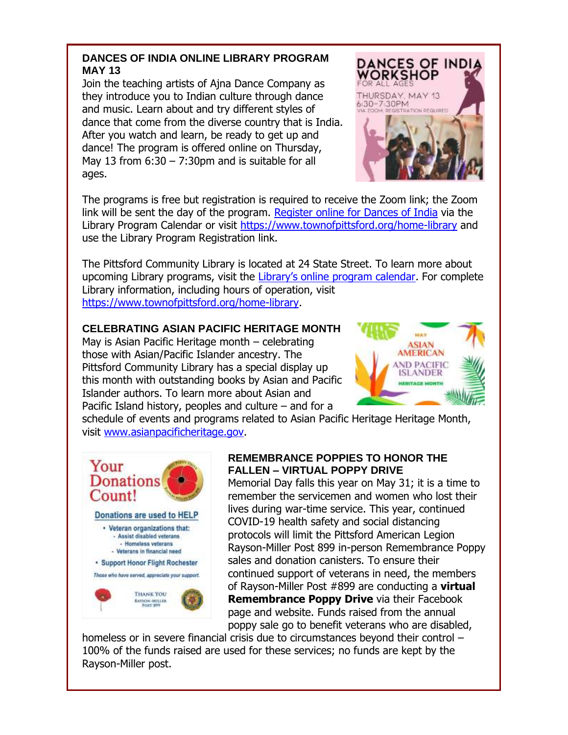#### **DANCES OF INDIA ONLINE LIBRARY PROGRAM MAY 13**

Join the teaching artists of Ajna Dance Company as they introduce you to Indian culture through dance and music. Learn about and try different styles of dance that come from the diverse country that is India. After you watch and learn, be ready to get up and dance! The program is offered online on Thursday, May 13 from  $6:30 - 7:30$ pm and is suitable for all ages.



The programs is free but registration is required to receive the Zoom link; the Zoom link will be sent the day of the program. [Register online for Dances of India](http://r20.rs6.net/tn.jsp?f=001NYI16H4snqhSzTAp5nrnPiHRTCTrTwaiMoQF4j0Bp5k0JETJFHYQRG6ex-wzq6XsJ4ow0WSF2-kQ-H9h5s1c-cb8_faqMl6DwWNyNudoJaekhjNe0oL9Y6bihc3pZYMWj8blaNFcOYRpC3bM1MREM1MkL_z3z_RhTITB8i8VDryRGq7cTV8_lg==&c=ykit7nPXPIJyr3tK9sNR2fIebVmLCzJda29hAUs83d7SOl7OzWwXfQ==&ch=6I7oEkQO8kfUmttsr_CP-pqPsRKEqycufyOaF31MyBgKFWJD_3ZUSQ==&jrc=1) via the Library Program Calendar or visit [https://www.townofpittsford.org/home-library](http://https/www.townofpittsford.org/home-library) and use the Library Program Registration link.

The Pittsford Community Library is located at 24 State Street. To learn more about upcoming Library programs, visit the [Library's online program calendar](http://r20.rs6.net/tn.jsp?f=001NYI16H4snqhSzTAp5nrnPiHRTCTrTwaiMoQF4j0Bp5k0JETJFHYQRCK7dSZnF6qFlkjDog1OAbKtYkqk81_GbLWM552vsiwRBa7zzcrJPlg_lON0l3FAfuWdj8L6SUaioPxHSoP3vpUfCJkhd_kIhFTAePNhLeZRUOrOUSu18KZLwHFM83CuFfXHdXxVrbNYPJ8ksyAxvjTbX1Sqm5TIBc6Ac9mC2JbGQXlRY8Hs74BneFJ0qIay9u8Bif4DRJ-K2ucJ8Ig62D4=&c=ykit7nPXPIJyr3tK9sNR2fIebVmLCzJda29hAUs83d7SOl7OzWwXfQ==&ch=6I7oEkQO8kfUmttsr_CP-pqPsRKEqycufyOaF31MyBgKFWJD_3ZUSQ==&jrc=1). For complete Library information, including hours of operation, visit [https://www.townofpittsford.org/home-library.](http://r20.rs6.net/tn.jsp?f=001NYI16H4snqhSzTAp5nrnPiHRTCTrTwaiMoQF4j0Bp5k0JETJFHYQRF7opy0D0fSwJ2Zp8LymiCRC9hnBIklUZFDuaBafnekYXj1aZbU1DfoBPZsC_FzCncjNFtYpoSe2yw32Pxz5-BQ_EECea12KG2sB0coSPpPsDQ-ADkV5stA=&c=ykit7nPXPIJyr3tK9sNR2fIebVmLCzJda29hAUs83d7SOl7OzWwXfQ==&ch=6I7oEkQO8kfUmttsr_CP-pqPsRKEqycufyOaF31MyBgKFWJD_3ZUSQ==&jrc=1)

#### **CELEBRATING ASIAN PACIFIC HERITAGE MONTH**

May is Asian Pacific Heritage month – celebrating those with Asian/Pacific Islander ancestry. The Pittsford Community Library has a special display up this month with outstanding books by Asian and Pacific Islander authors. To learn more about Asian and Pacific Island history, peoples and culture – and for a



schedule of events and programs related to Asian Pacific Heritage Heritage Month, visit [www.asianpacificheritage.gov.](http://r20.rs6.net/tn.jsp?f=001NYI16H4snqhSzTAp5nrnPiHRTCTrTwaiMoQF4j0Bp5k0JETJFHYQRG6ex-wzq6XsK9V9HUqHwlLrm5hY1M5f5CigQ20plu_zwsqCLrqSuMbM5EbtOCQPlwPzda6ZoRY15Hsgl4RsrIZZTAdPqFX7LdEu_qOTkikm&c=ykit7nPXPIJyr3tK9sNR2fIebVmLCzJda29hAUs83d7SOl7OzWwXfQ==&ch=6I7oEkQO8kfUmttsr_CP-pqPsRKEqycufyOaF31MyBgKFWJD_3ZUSQ==&jrc=1)



#### **REMEMBRANCE POPPIES TO HONOR THE FALLEN – VIRTUAL POPPY DRIVE**

Memorial Day falls this year on May 31; it is a time to remember the servicemen and women who lost their lives during war-time service. This year, continued COVID-19 health safety and social distancing protocols will limit the Pittsford American Legion Rayson-Miller Post 899 in-person Remembrance Poppy sales and donation canisters. To ensure their continued support of veterans in need, the members of Rayson-Miller Post #899 are conducting a **virtual Remembrance Poppy Drive** via their Facebook page and website. Funds raised from the annual poppy sale go to benefit veterans who are disabled,

homeless or in severe financial crisis due to circumstances beyond their control -100% of the funds raised are used for these services; no funds are kept by the Rayson-Miller post.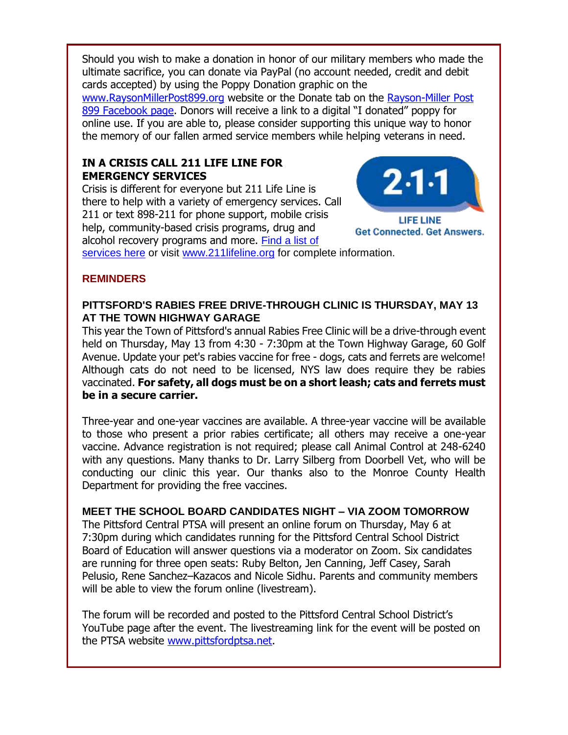Should you wish to make a donation in honor of our military members who made the ultimate sacrifice, you can donate via PayPal (no account needed, credit and debit cards accepted) by using the Poppy Donation graphic on the [www.RaysonMillerPost899.org](http://r20.rs6.net/tn.jsp?f=001NYI16H4snqhSzTAp5nrnPiHRTCTrTwaiMoQF4j0Bp5k0JETJFHYQRA2M2qGOptJ_aAregoRAfIZqWLxcnSCFyGYC1bN4gpx6hhm_djI2EGvpusFTCiZQh01QDLLd_5arHYf5WO5v7Ip2NeUubkDTZPFQ7iiX_Of9&c=ykit7nPXPIJyr3tK9sNR2fIebVmLCzJda29hAUs83d7SOl7OzWwXfQ==&ch=6I7oEkQO8kfUmttsr_CP-pqPsRKEqycufyOaF31MyBgKFWJD_3ZUSQ==&jrc=1) website or the Donate tab on the [Rayson-Miller Post](http://r20.rs6.net/tn.jsp?f=001NYI16H4snqhSzTAp5nrnPiHRTCTrTwaiMoQF4j0Bp5k0JETJFHYQRHcqJ2ZMsV0BYRfILnpYjBLeoErXMWQRvjVdeFHTcrkwJkN_Sa_EbXlx_DNmoPuYc3ApSmgkwgVkVt1I8bWORZ3ykeaW_PBsHCERCTl7rhqlF_5LeomicOVif4aTqeTqMw==&c=ykit7nPXPIJyr3tK9sNR2fIebVmLCzJda29hAUs83d7SOl7OzWwXfQ==&ch=6I7oEkQO8kfUmttsr_CP-pqPsRKEqycufyOaF31MyBgKFWJD_3ZUSQ==&jrc=1)  [899 Facebook page](http://r20.rs6.net/tn.jsp?f=001NYI16H4snqhSzTAp5nrnPiHRTCTrTwaiMoQF4j0Bp5k0JETJFHYQRHcqJ2ZMsV0BYRfILnpYjBLeoErXMWQRvjVdeFHTcrkwJkN_Sa_EbXlx_DNmoPuYc3ApSmgkwgVkVt1I8bWORZ3ykeaW_PBsHCERCTl7rhqlF_5LeomicOVif4aTqeTqMw==&c=ykit7nPXPIJyr3tK9sNR2fIebVmLCzJda29hAUs83d7SOl7OzWwXfQ==&ch=6I7oEkQO8kfUmttsr_CP-pqPsRKEqycufyOaF31MyBgKFWJD_3ZUSQ==&jrc=1). Donors will receive a link to a digital "I donated" poppy for online use. If you are able to, please consider supporting this unique way to honor the memory of our fallen armed service members while helping veterans in need.

#### **IN A CRISIS CALL 211 LIFE LINE FOR EMERGENCY SERVICES**

Crisis is different for everyone but 211 Life Line is there to help with a variety of emergency services. Call 211 or text 898-211 for phone support, mobile crisis help, community-based crisis programs, drug and alcohol recovery programs and more. [Find a list of](http://r20.rs6.net/tn.jsp?f=001NYI16H4snqhSzTAp5nrnPiHRTCTrTwaiMoQF4j0Bp5k0JETJFHYQRG6ex-wzq6Xs0DzZ6pNBdO35GEUidPXwbF_VduhnShm4Ox3yUezqpMp_rYE1AF4nsPdHRbslJfPVZPFC8y-NpNU_-e8No_YYU3Y6-7neewfaGeaUrbXJaWvx9pD4L_s_9QIOxuGNOs9vjVYv-lbpeh-zOTjuBnvFjA==&c=ykit7nPXPIJyr3tK9sNR2fIebVmLCzJda29hAUs83d7SOl7OzWwXfQ==&ch=6I7oEkQO8kfUmttsr_CP-pqPsRKEqycufyOaF31MyBgKFWJD_3ZUSQ==&jrc=1) 



**Get Connected. Get Answers.** 

[services here](http://r20.rs6.net/tn.jsp?f=001NYI16H4snqhSzTAp5nrnPiHRTCTrTwaiMoQF4j0Bp5k0JETJFHYQRG6ex-wzq6Xs0DzZ6pNBdO35GEUidPXwbF_VduhnShm4Ox3yUezqpMp_rYE1AF4nsPdHRbslJfPVZPFC8y-NpNU_-e8No_YYU3Y6-7neewfaGeaUrbXJaWvx9pD4L_s_9QIOxuGNOs9vjVYv-lbpeh-zOTjuBnvFjA==&c=ykit7nPXPIJyr3tK9sNR2fIebVmLCzJda29hAUs83d7SOl7OzWwXfQ==&ch=6I7oEkQO8kfUmttsr_CP-pqPsRKEqycufyOaF31MyBgKFWJD_3ZUSQ==&jrc=1) or visit [www.211lifeline.org](http://r20.rs6.net/tn.jsp?f=001NYI16H4snqhSzTAp5nrnPiHRTCTrTwaiMoQF4j0Bp5k0JETJFHYQRG6ex-wzq6XsxhGpTRCYvysgBDD7RRRpuBsiGrGR31RstKWhbJCt3Ari06mZXAeO96I1NDa1tF9dU1o4R5r4QEHiuve59YizNQ==&c=ykit7nPXPIJyr3tK9sNR2fIebVmLCzJda29hAUs83d7SOl7OzWwXfQ==&ch=6I7oEkQO8kfUmttsr_CP-pqPsRKEqycufyOaF31MyBgKFWJD_3ZUSQ==&jrc=1) for complete information.

#### **REMINDERS**

#### **PITTSFORD'S RABIES FREE DRIVE-THROUGH CLINIC IS THURSDAY, MAY 13 AT THE TOWN HIGHWAY GARAGE**

This year the Town of Pittsford's annual Rabies Free Clinic will be a drive-through event held on Thursday, May 13 from 4:30 - 7:30pm at the Town Highway Garage, 60 Golf Avenue. Update your pet's rabies vaccine for free - dogs, cats and ferrets are welcome! Although cats do not need to be licensed, NYS law does require they be rabies vaccinated. **For safety, all dogs must be on a short leash; cats and ferrets must be in a secure carrier.**

Three-year and one-year vaccines are available. A three-year vaccine will be available to those who present a prior rabies certificate; all others may receive a one-year vaccine. Advance registration is not required; please call Animal Control at 248-6240 with any questions. Many thanks to Dr. Larry Silberg from Doorbell Vet, who will be conducting our clinic this year. Our thanks also to the Monroe County Health Department for providing the free vaccines.

#### **MEET THE SCHOOL BOARD CANDIDATES NIGHT – VIA ZOOM TOMORROW**

The Pittsford Central PTSA will present an online forum on Thursday, May 6 at 7:30pm during which candidates running for the Pittsford Central School District Board of Education will answer questions via a moderator on Zoom. Six candidates are running for three open seats: Ruby Belton, Jen Canning, Jeff Casey, Sarah Pelusio, Rene Sanchez–Kazacos and Nicole Sidhu. Parents and community members will be able to view the forum online (livestream).

The forum will be recorded and posted to the Pittsford Central School District's YouTube page after the event. The livestreaming link for the event will be posted on the PTSA website [www.pittsfordptsa.net.](http://r20.rs6.net/tn.jsp?f=001NYI16H4snqhSzTAp5nrnPiHRTCTrTwaiMoQF4j0Bp5k0JETJFHYQRHIx2CU3La91QdZrPQ5r7Qe59CUhZMuMm_vTVIqGoAw6hKUXhDrrIxBophGPDUer3BYnGW5G6gAleJtmdGoO-50BFb4JPJ8k4A==&c=ykit7nPXPIJyr3tK9sNR2fIebVmLCzJda29hAUs83d7SOl7OzWwXfQ==&ch=6I7oEkQO8kfUmttsr_CP-pqPsRKEqycufyOaF31MyBgKFWJD_3ZUSQ==&jrc=1)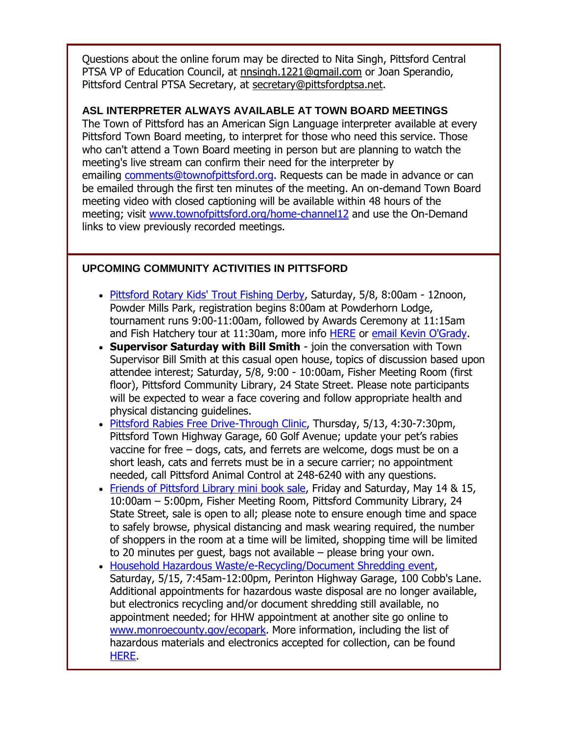Questions about the online forum may be directed to Nita Singh, Pittsford Central PTSA VP of Education Council, at [nnsingh.1221@gmail.com](mailto:nnsingh.1221@gmail.com) or Joan Sperandio, Pittsford Central PTSA Secretary, at [secretary@pittsfordptsa.net.](mailto:secretary@pittsfordptsa.net)

#### **ASL INTERPRETER ALWAYS AVAILABLE AT TOWN BOARD MEETINGS**

The Town of Pittsford has an American Sign Language interpreter available at every Pittsford Town Board meeting, to interpret for those who need this service. Those who can't attend a Town Board meeting in person but are planning to watch the meeting's live stream can confirm their need for the interpreter by emailing [comments@townofpittsford.org.](mailto:comments@townofpittsford.org?subject=ASL%20interperter%20request%20for%20Town%20Board%20meeting) Requests can be made in advance or can be emailed through the first ten minutes of the meeting. An on-demand Town Board meeting video with closed captioning will be available within 48 hours of the meeting; visit [www.townofpittsford.org/home-channel12](http://r20.rs6.net/tn.jsp?f=001NYI16H4snqhSzTAp5nrnPiHRTCTrTwaiMoQF4j0Bp5k0JETJFHYQRBYvGFIxWzOTh-dP1KlcufQWemJ54Y7uHjgEROtcwArDbEnNlc6eLhxtOAySShSNXY_GEKhVnfH3Nshb-YiY7z0T8Fch-3eh40lJVnip60CRB2lL55XJyAs=&c=ykit7nPXPIJyr3tK9sNR2fIebVmLCzJda29hAUs83d7SOl7OzWwXfQ==&ch=6I7oEkQO8kfUmttsr_CP-pqPsRKEqycufyOaF31MyBgKFWJD_3ZUSQ==&jrc=1) and use the On-Demand links to view previously recorded meetings.

#### **UPCOMING COMMUNITY ACTIVITIES IN PITTSFORD**

- [Pittsford Rotary Kids' Trout Fishing Derby,](http://r20.rs6.net/tn.jsp?f=001NYI16H4snqhSzTAp5nrnPiHRTCTrTwaiMoQF4j0Bp5k0JETJFHYQRCDGMd09S1MX1Vf3RIMy3WILMx8Apd4ZOzdFtXeYNqA3U2W2f_TWmHaLCERQJCzMfbYcXCMfY1yJLr3iX_Gh_v12lEdyoeZt1qEwJTf5p_n_&c=ykit7nPXPIJyr3tK9sNR2fIebVmLCzJda29hAUs83d7SOl7OzWwXfQ==&ch=6I7oEkQO8kfUmttsr_CP-pqPsRKEqycufyOaF31MyBgKFWJD_3ZUSQ==&jrc=1) Saturday, 5/8, 8:00am 12noon, Powder Mills Park, registration begins 8:00am at Powderhorn Lodge, tournament runs 9:00-11:00am, followed by Awards Ceremony at 11:15am and Fish Hatchery tour at 11:30am, more info [HERE](http://r20.rs6.net/tn.jsp?f=001NYI16H4snqhSzTAp5nrnPiHRTCTrTwaiMoQF4j0Bp5k0JETJFHYQRCDGMd09S1MX1Vf3RIMy3WILMx8Apd4ZOzdFtXeYNqA3U2W2f_TWmHaLCERQJCzMfbYcXCMfY1yJLr3iX_Gh_v12lEdyoeZt1qEwJTf5p_n_&c=ykit7nPXPIJyr3tK9sNR2fIebVmLCzJda29hAUs83d7SOl7OzWwXfQ==&ch=6I7oEkQO8kfUmttsr_CP-pqPsRKEqycufyOaF31MyBgKFWJD_3ZUSQ==&jrc=1) or [email Kevin O'Grady.](mailto:kevin@ogradyassociates.com?subject=Pittsford%20Rotary%20Kids)
- **Supervisor Saturday with Bill Smith** join the conversation with Town Supervisor Bill Smith at this casual open house, topics of discussion based upon attendee interest; Saturday, 5/8, 9:00 - 10:00am, Fisher Meeting Room (first floor), Pittsford Community Library, 24 State Street. Please note participants will be expected to wear a face covering and follow appropriate health and physical distancing guidelines.
- [Pittsford Rabies Free Drive-Through Clinic,](http://r20.rs6.net/tn.jsp?f=001NYI16H4snqhSzTAp5nrnPiHRTCTrTwaiMoQF4j0Bp5k0JETJFHYQRHIx2CU3La91X6Yh2ruZELsjnZFR20KjlOAdNXZxVI7sNTBSrovOoDR7jjmX_lsIO4UjYCBH7Dttz1cq5GjjtBQEBPOaKHtPVfplrT798hmARl7Tm4hhimtd7cHMwUPdu0zhd3pP3A9eq8iEwh_Iemt4I6e9G3V7XYgPxtaKDila&c=ykit7nPXPIJyr3tK9sNR2fIebVmLCzJda29hAUs83d7SOl7OzWwXfQ==&ch=6I7oEkQO8kfUmttsr_CP-pqPsRKEqycufyOaF31MyBgKFWJD_3ZUSQ==&jrc=1) Thursday, 5/13, 4:30-7:30pm, Pittsford Town Highway Garage, 60 Golf Avenue; update your pet's rabies vaccine for free – dogs, cats, and ferrets are welcome, dogs must be on a short leash, cats and ferrets must be in a secure carrier; no appointment needed, call Pittsford Animal Control at 248-6240 with any questions.
- [Friends of Pittsford Library mini book sale,](http://r20.rs6.net/tn.jsp?f=001NYI16H4snqhSzTAp5nrnPiHRTCTrTwaiMoQF4j0Bp5k0JETJFHYQRCWzmvWCPXRgXt2hpwBsKCWVP0fJgdqDt0HowpTSuQlEoJKwjCG6jqqVKDlA6BqyZaROlRCIN6uuKuFvozAyFoDLfWSS5PmkGVoUkT160t5L&c=ykit7nPXPIJyr3tK9sNR2fIebVmLCzJda29hAUs83d7SOl7OzWwXfQ==&ch=6I7oEkQO8kfUmttsr_CP-pqPsRKEqycufyOaF31MyBgKFWJD_3ZUSQ==&jrc=1) Friday and Saturday, May 14 & 15, 10:00am – 5:00pm, Fisher Meeting Room, Pittsford Community Library, 24 State Street, sale is open to all; please note to ensure enough time and space to safely browse, physical distancing and mask wearing required, the number of shoppers in the room at a time will be limited, shopping time will be limited to 20 minutes per guest, bags not available – please bring your own.
- [Household Hazardous Waste/e-Recycling/Document Shredding event,](http://r20.rs6.net/tn.jsp?f=001NYI16H4snqhSzTAp5nrnPiHRTCTrTwaiMoQF4j0Bp5k0JETJFHYQRIzvWg4BPu41xH2AM5EgyHH2YQGLe0zqNUY7tOhU6D9fRmCg8Y7SSuG5WcAKNBqwEWphTOwuNjrzHvq7Tks6gK14K_1ZB2CpvT2nfKGesA8iaT7jzhz0vBz-l_eCrOPhaLEUNW80q1iq4st2A4RwOF8GSBLcsz1bKWmDqwi9dHL4&c=ykit7nPXPIJyr3tK9sNR2fIebVmLCzJda29hAUs83d7SOl7OzWwXfQ==&ch=6I7oEkQO8kfUmttsr_CP-pqPsRKEqycufyOaF31MyBgKFWJD_3ZUSQ==&jrc=1) Saturday, 5/15, 7:45am-12:00pm, Perinton Highway Garage, 100 Cobb's Lane. Additional appointments for hazardous waste disposal are no longer available, but electronics recycling and/or document shredding still available, no appointment needed; for HHW appointment at another site go online to [www.monroecounty.gov/ecopark.](http://r20.rs6.net/tn.jsp?f=001NYI16H4snqhSzTAp5nrnPiHRTCTrTwaiMoQF4j0Bp5k0JETJFHYQRMZbBTLZs-_DzyYHzqHt7DJKs5Au0hRBB47pz1TOFW1bO6Uk_-sIXeDIYl5h4Vh5wdueMYhc-npQUANae6am7mwu60L1SKIZxbn1fzvAkg6l&c=ykit7nPXPIJyr3tK9sNR2fIebVmLCzJda29hAUs83d7SOl7OzWwXfQ==&ch=6I7oEkQO8kfUmttsr_CP-pqPsRKEqycufyOaF31MyBgKFWJD_3ZUSQ==&jrc=1) More information, including the list of hazardous materials and electronics accepted for collection, can be found [HERE.](http://r20.rs6.net/tn.jsp?f=001NYI16H4snqhSzTAp5nrnPiHRTCTrTwaiMoQF4j0Bp5k0JETJFHYQRIzvWg4BPu41xH2AM5EgyHH2YQGLe0zqNUY7tOhU6D9fRmCg8Y7SSuG5WcAKNBqwEWphTOwuNjrzHvq7Tks6gK14K_1ZB2CpvT2nfKGesA8iaT7jzhz0vBz-l_eCrOPhaLEUNW80q1iq4st2A4RwOF8GSBLcsz1bKWmDqwi9dHL4&c=ykit7nPXPIJyr3tK9sNR2fIebVmLCzJda29hAUs83d7SOl7OzWwXfQ==&ch=6I7oEkQO8kfUmttsr_CP-pqPsRKEqycufyOaF31MyBgKFWJD_3ZUSQ==&jrc=1)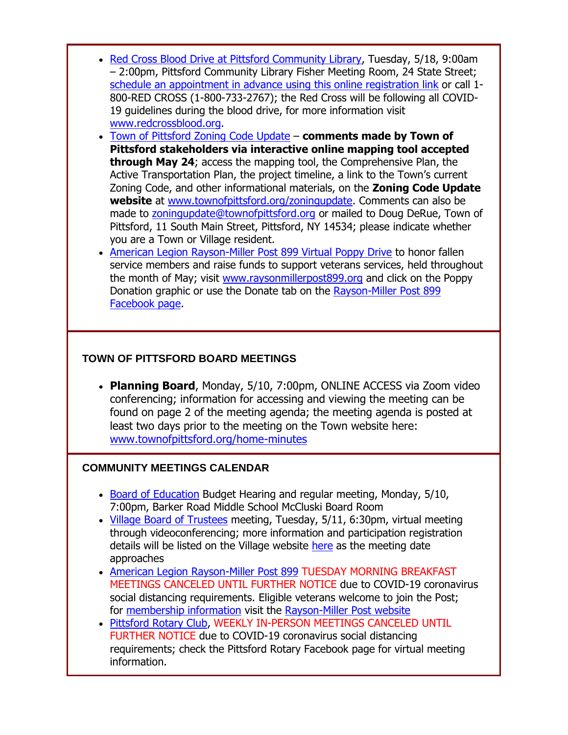- [Red Cross Blood Drive at Pittsford Community Library,](http://r20.rs6.net/tn.jsp?f=001NYI16H4snqhSzTAp5nrnPiHRTCTrTwaiMoQF4j0Bp5k0JETJFHYQRFRzbyVjInooaeyM2owhQZkJ3CjkrG_v3quTRTHeXKmLKxcQSEs81xWCT0-y_w5KW-U1Qnk7lVcWa1mDxq8skBdPrhODKvWVsI_caj--sHhtD0R7KFj7jERh8jLdv8EivoDDTOxqJGwsSmYBE9b_f3e_rTWuTq1ZntFT8_7Hhmqql1GdKZotrus=&c=ykit7nPXPIJyr3tK9sNR2fIebVmLCzJda29hAUs83d7SOl7OzWwXfQ==&ch=6I7oEkQO8kfUmttsr_CP-pqPsRKEqycufyOaF31MyBgKFWJD_3ZUSQ==&jrc=1) Tuesday, 5/18, 9:00am – 2:00pm, Pittsford Community Library Fisher Meeting Room, 24 State Street; [schedule an appointment in advance using this online registration link](http://r20.rs6.net/tn.jsp?f=001NYI16H4snqhSzTAp5nrnPiHRTCTrTwaiMoQF4j0Bp5k0JETJFHYQRFRzbyVjInooaeyM2owhQZkJ3CjkrG_v3quTRTHeXKmLKxcQSEs81xWCT0-y_w5KW-U1Qnk7lVcWa1mDxq8skBdPrhODKvWVsI_caj--sHhtD0R7KFj7jERh8jLdv8EivoDDTOxqJGwsSmYBE9b_f3e_rTWuTq1ZntFT8_7Hhmqql1GdKZotrus=&c=ykit7nPXPIJyr3tK9sNR2fIebVmLCzJda29hAUs83d7SOl7OzWwXfQ==&ch=6I7oEkQO8kfUmttsr_CP-pqPsRKEqycufyOaF31MyBgKFWJD_3ZUSQ==&jrc=1) or call 1- 800-RED CROSS (1-800-733-2767); the Red Cross will be following all COVID-19 guidelines during the blood drive, for more information visit [www.redcrossblood.org.](http://www.redcrossblood.org/)
- [Town of Pittsford Zoning Code Update](http://r20.rs6.net/tn.jsp?f=001NYI16H4snqhSzTAp5nrnPiHRTCTrTwaiMoQF4j0Bp5k0JETJFHYQRCJl5GJumcHCBVbJ8isqZvsva0RV4gR7TPaErPr84oxn5EEEalFI6l_zlMcu1FRDe40_WqsJRIfuZZKyc9pnM28Ir0WW_kgsKv87eoVdENUn29LgBUTp6yI=&c=ykit7nPXPIJyr3tK9sNR2fIebVmLCzJda29hAUs83d7SOl7OzWwXfQ==&ch=6I7oEkQO8kfUmttsr_CP-pqPsRKEqycufyOaF31MyBgKFWJD_3ZUSQ==&jrc=1) **comments made by Town of Pittsford stakeholders via interactive online mapping tool accepted through May 24**; access the mapping tool, the Comprehensive Plan, the Active Transportation Plan, the project timeline, a link to the Town's current Zoning Code, and other informational materials, on the **Zoning Code Update website** at [www.townofpittsford.org/zoningupdate.](http://r20.rs6.net/tn.jsp?f=001NYI16H4snqhSzTAp5nrnPiHRTCTrTwaiMoQF4j0Bp5k0JETJFHYQRCJl5GJumcHCBVbJ8isqZvsva0RV4gR7TPaErPr84oxn5EEEalFI6l_zlMcu1FRDe40_WqsJRIfuZZKyc9pnM28Ir0WW_kgsKv87eoVdENUn29LgBUTp6yI=&c=ykit7nPXPIJyr3tK9sNR2fIebVmLCzJda29hAUs83d7SOl7OzWwXfQ==&ch=6I7oEkQO8kfUmttsr_CP-pqPsRKEqycufyOaF31MyBgKFWJD_3ZUSQ==&jrc=1) Comments can also be made to [zoningupdate@townofpittsford.org](mailto:zoningupdate@townofpittsford.org) or mailed to Doug DeRue, Town of Pittsford, 11 South Main Street, Pittsford, NY 14534; please indicate whether you are a Town or Village resident.
- [American Legion Rayson-Miller Post 899 Virtual Poppy Drive](http://r20.rs6.net/tn.jsp?f=001NYI16H4snqhSzTAp5nrnPiHRTCTrTwaiMoQF4j0Bp5k0JETJFHYQRA2M2qGOptJ_aAregoRAfIZqWLxcnSCFyGYC1bN4gpx6hhm_djI2EGvpusFTCiZQh01QDLLd_5arHYf5WO5v7Ip2NeUubkDTZPFQ7iiX_Of9&c=ykit7nPXPIJyr3tK9sNR2fIebVmLCzJda29hAUs83d7SOl7OzWwXfQ==&ch=6I7oEkQO8kfUmttsr_CP-pqPsRKEqycufyOaF31MyBgKFWJD_3ZUSQ==&jrc=1) to honor fallen service members and raise funds to support veterans services, held throughout the month of May; visit [www.raysonmillerpost899.org](http://r20.rs6.net/tn.jsp?f=001NYI16H4snqhSzTAp5nrnPiHRTCTrTwaiMoQF4j0Bp5k0JETJFHYQRA2M2qGOptJ_aAregoRAfIZqWLxcnSCFyGYC1bN4gpx6hhm_djI2EGvpusFTCiZQh01QDLLd_5arHYf5WO5v7Ip2NeUubkDTZPFQ7iiX_Of9&c=ykit7nPXPIJyr3tK9sNR2fIebVmLCzJda29hAUs83d7SOl7OzWwXfQ==&ch=6I7oEkQO8kfUmttsr_CP-pqPsRKEqycufyOaF31MyBgKFWJD_3ZUSQ==&jrc=1) and click on the Poppy Donation graphic or use the Donate tab on the [Rayson-Miller Post 899](http://r20.rs6.net/tn.jsp?f=001NYI16H4snqhSzTAp5nrnPiHRTCTrTwaiMoQF4j0Bp5k0JETJFHYQRHcqJ2ZMsV0BYRfILnpYjBLeoErXMWQRvjVdeFHTcrkwJkN_Sa_EbXlx_DNmoPuYc3ApSmgkwgVkVt1I8bWORZ3ykeaW_PBsHCERCTl7rhqlF_5LeomicOVif4aTqeTqMw==&c=ykit7nPXPIJyr3tK9sNR2fIebVmLCzJda29hAUs83d7SOl7OzWwXfQ==&ch=6I7oEkQO8kfUmttsr_CP-pqPsRKEqycufyOaF31MyBgKFWJD_3ZUSQ==&jrc=1)  [Facebook page.](http://r20.rs6.net/tn.jsp?f=001NYI16H4snqhSzTAp5nrnPiHRTCTrTwaiMoQF4j0Bp5k0JETJFHYQRHcqJ2ZMsV0BYRfILnpYjBLeoErXMWQRvjVdeFHTcrkwJkN_Sa_EbXlx_DNmoPuYc3ApSmgkwgVkVt1I8bWORZ3ykeaW_PBsHCERCTl7rhqlF_5LeomicOVif4aTqeTqMw==&c=ykit7nPXPIJyr3tK9sNR2fIebVmLCzJda29hAUs83d7SOl7OzWwXfQ==&ch=6I7oEkQO8kfUmttsr_CP-pqPsRKEqycufyOaF31MyBgKFWJD_3ZUSQ==&jrc=1)

#### **TOWN OF PITTSFORD BOARD MEETINGS**

 **Planning Board**, Monday, 5/10, 7:00pm, ONLINE ACCESS via Zoom video conferencing; information for accessing and viewing the meeting can be found on page 2 of the meeting agenda; the meeting agenda is posted at least two days prior to the meeting on the Town website here: [www.townofpittsford.org/home-minutes](http://r20.rs6.net/tn.jsp?f=001NYI16H4snqhSzTAp5nrnPiHRTCTrTwaiMoQF4j0Bp5k0JETJFHYQRCDGMd09S1MX_0KB-KCEWJ86PyBMWyxVGP6q0lu8kF627wXbbZRYg5fPK4YuTrCwG0MVIUC00AuuiP07thdDqe5alExuuEZ8u5ZG6ARbq40MqoFnfKmS_IU=&c=ykit7nPXPIJyr3tK9sNR2fIebVmLCzJda29hAUs83d7SOl7OzWwXfQ==&ch=6I7oEkQO8kfUmttsr_CP-pqPsRKEqycufyOaF31MyBgKFWJD_3ZUSQ==&jrc=1)

#### **COMMUNITY MEETINGS CALENDAR**

- [Board of Education](http://r20.rs6.net/tn.jsp?f=001NYI16H4snqhSzTAp5nrnPiHRTCTrTwaiMoQF4j0Bp5k0JETJFHYQRG6ex-wzq6XsjENUlFCXxLHocGvaqEjwmJ9H0AFBoyXgEh87weGjAkhG6CHrJKWfwvV5OxOA1AZsz7pTMbIbjDuRJvOwpO9en6ZRyckkVZmfySh0ydD7me90RVH1FXdZvz8uO1TbfrFAoXwytO79PF4AU8wK2glxa7_dWnG8GYsq&c=ykit7nPXPIJyr3tK9sNR2fIebVmLCzJda29hAUs83d7SOl7OzWwXfQ==&ch=6I7oEkQO8kfUmttsr_CP-pqPsRKEqycufyOaF31MyBgKFWJD_3ZUSQ==&jrc=1) Budget Hearing and regular meeting, Monday, 5/10, 7:00pm, Barker Road Middle School McCluski Board Room
- [Village Board of Trustees](http://r20.rs6.net/tn.jsp?f=001NYI16H4snqhSzTAp5nrnPiHRTCTrTwaiMoQF4j0Bp5k0JETJFHYQRG6ex-wzq6XsgXyvmRTQtikT3nnrXgdeqw2HX3lTqNUKcbuHaT7O_3c9VpdPi80Ndas6MhoDnS3V66kD5PtsKzhRkMm6Q2MY9DElrdCjvwLiPT-PZj8bJKqE-UlULEfuTGCMN0bFUVkrFrl4zdO9eOh7GM2MY2q0iJbx2BPH3L5ccW3DvPdhfv4tbNb5zWjpcIJfa3opAYg8Tt6BNb498TVhuakyCuO86J-lO0nou5yg&c=ykit7nPXPIJyr3tK9sNR2fIebVmLCzJda29hAUs83d7SOl7OzWwXfQ==&ch=6I7oEkQO8kfUmttsr_CP-pqPsRKEqycufyOaF31MyBgKFWJD_3ZUSQ==&jrc=1) meeting, Tuesday, 5/11, 6:30pm, virtual meeting through videoconferencing; more information and participation registration details will be listed on the Village website [here](http://r20.rs6.net/tn.jsp?f=001NYI16H4snqhSzTAp5nrnPiHRTCTrTwaiMoQF4j0Bp5k0JETJFHYQRG6ex-wzq6XsgXyvmRTQtikT3nnrXgdeqw2HX3lTqNUKcbuHaT7O_3c9VpdPi80Ndas6MhoDnS3V66kD5PtsKzhRkMm6Q2MY9DElrdCjvwLiPT-PZj8bJKqE-UlULEfuTGCMN0bFUVkrFrl4zdO9eOh7GM2MY2q0iJbx2BPH3L5ccW3DvPdhfv4tbNb5zWjpcIJfa3opAYg8Tt6BNb498TVhuakyCuO86J-lO0nou5yg&c=ykit7nPXPIJyr3tK9sNR2fIebVmLCzJda29hAUs83d7SOl7OzWwXfQ==&ch=6I7oEkQO8kfUmttsr_CP-pqPsRKEqycufyOaF31MyBgKFWJD_3ZUSQ==&jrc=1) as the meeting date approaches
- [American Legion Rayson-Miller Post 899](http://r20.rs6.net/tn.jsp?f=001NYI16H4snqhSzTAp5nrnPiHRTCTrTwaiMoQF4j0Bp5k0JETJFHYQRCWzmvWCPXRgor9JtZ1zxhVkneJItgzZ7LXMJljN0XjYz7lUJOn8O8m8LK2MUBff12n9mBCXx69OAc6nRD2KqVFkkTHyyYtwEHqGw6Vzuvs9&c=ykit7nPXPIJyr3tK9sNR2fIebVmLCzJda29hAUs83d7SOl7OzWwXfQ==&ch=6I7oEkQO8kfUmttsr_CP-pqPsRKEqycufyOaF31MyBgKFWJD_3ZUSQ==&jrc=1) TUESDAY MORNING BREAKFAST MEETINGS CANCELED UNTIL FURTHER NOTICE due to COVID-19 coronavirus social distancing requirements. Eligible veterans welcome to join the Post; for [membership information](http://r20.rs6.net/tn.jsp?f=001NYI16H4snqhSzTAp5nrnPiHRTCTrTwaiMoQF4j0Bp5k0JETJFHYQRCWzmvWCPXRg0jrPSkdleJI-CQilObVHfsnigb8j--OltVKs72lff5Q2YcccPlCDblptE9Bb3Co4hKZ0lUAsYODUQ8mOdKyrbsRBSaYufcnnhslBSzilAf2GgLI3S-5tScpueh2EFGce&c=ykit7nPXPIJyr3tK9sNR2fIebVmLCzJda29hAUs83d7SOl7OzWwXfQ==&ch=6I7oEkQO8kfUmttsr_CP-pqPsRKEqycufyOaF31MyBgKFWJD_3ZUSQ==&jrc=1) visit the [Rayson-Miller Post website](http://r20.rs6.net/tn.jsp?f=001NYI16H4snqhSzTAp5nrnPiHRTCTrTwaiMoQF4j0Bp5k0JETJFHYQRGR2uutAX0qhq3c_knoL1e4xkr2MiCCAcbkxDymJEWdMQfiD-VJ-0G9z99N5yNYsEDkwbVEdRG9CCMnT2FeTlluZ5qFRmCqXH9DiO-pHhpRCRGmbVTlJD5Dncy1r3m5DnTb3_uSHfI7oFOPPDBUW7jyjAxe0zUNRdSO00EHhtQONZIWFFeSgzPbuk5Fnte69Arjq-tDzhU4l&c=ykit7nPXPIJyr3tK9sNR2fIebVmLCzJda29hAUs83d7SOl7OzWwXfQ==&ch=6I7oEkQO8kfUmttsr_CP-pqPsRKEqycufyOaF31MyBgKFWJD_3ZUSQ==&jrc=1)
- [Pittsford Rotary Club,](http://r20.rs6.net/tn.jsp?f=001NYI16H4snqhSzTAp5nrnPiHRTCTrTwaiMoQF4j0Bp5k0JETJFHYQRCDGMd09S1MX1Vf3RIMy3WILMx8Apd4ZOzdFtXeYNqA3U2W2f_TWmHaLCERQJCzMfbYcXCMfY1yJLr3iX_Gh_v12lEdyoeZt1qEwJTf5p_n_&c=ykit7nPXPIJyr3tK9sNR2fIebVmLCzJda29hAUs83d7SOl7OzWwXfQ==&ch=6I7oEkQO8kfUmttsr_CP-pqPsRKEqycufyOaF31MyBgKFWJD_3ZUSQ==&jrc=1) WEEKLY IN-PERSON MEETINGS CANCELED UNTIL FURTHER NOTICE due to COVID-19 coronavirus social distancing requirements; check the Pittsford Rotary Facebook page for virtual meeting information.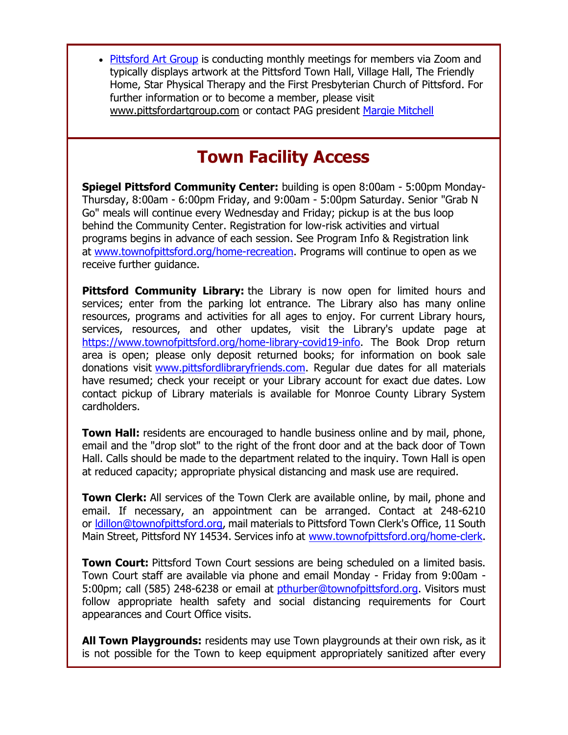• [Pittsford Art Group](http://r20.rs6.net/tn.jsp?f=001NYI16H4snqhSzTAp5nrnPiHRTCTrTwaiMoQF4j0Bp5k0JETJFHYQRD7VVRXB6fKbafTxeDtHhOSEamyAxMBOUP7RFrxj7yp-UenGDze63A5j_xSfqUxYm7xVgr8j0Kg4uX-coJmoX74RZBTq-_snocEJHd1REs4e6gJmKdcOoDU=&c=ykit7nPXPIJyr3tK9sNR2fIebVmLCzJda29hAUs83d7SOl7OzWwXfQ==&ch=6I7oEkQO8kfUmttsr_CP-pqPsRKEqycufyOaF31MyBgKFWJD_3ZUSQ==&jrc=1) is conducting monthly meetings for members via Zoom and typically displays artwork at the Pittsford Town Hall, Village Hall, The Friendly Home, Star Physical Therapy and the First Presbyterian Church of Pittsford. For further information or to become a member, please visit [www.pittsfordartgroup.com](http://r20.rs6.net/tn.jsp?f=001NYI16H4snqhSzTAp5nrnPiHRTCTrTwaiMoQF4j0Bp5k0JETJFHYQRNJev90qniwtts7wvfJKrYaj4GTw9JZxlMCy9zUl632ytBij8KECXCmp6lQwP62pZgmp2FOWCs0MOWHOVfDgTve7No8pC4FWSe4a0OoJwU8g&c=ykit7nPXPIJyr3tK9sNR2fIebVmLCzJda29hAUs83d7SOl7OzWwXfQ==&ch=6I7oEkQO8kfUmttsr_CP-pqPsRKEqycufyOaF31MyBgKFWJD_3ZUSQ==&jrc=1) or contact PAG president [Margie Mitchell](mailto:mhsmitchell@gmail.com?subject=Pittsford%20Art%20Group%20Meetings%20and%20Membership)

# **Town Facility Access**

**Spiegel Pittsford Community Center:** building is open 8:00am - 5:00pm Monday-Thursday, 8:00am - 6:00pm Friday, and 9:00am - 5:00pm Saturday. Senior "Grab N Go" meals will continue every Wednesday and Friday; pickup is at the bus loop behind the Community Center. Registration for low-risk activities and virtual programs begins in advance of each session. See Program Info & Registration link at [www.townofpittsford.org/home-recreation.](http://r20.rs6.net/tn.jsp?f=001NYI16H4snqhSzTAp5nrnPiHRTCTrTwaiMoQF4j0Bp5k0JETJFHYQRPluoOL7BLqH1HAIess01DGQl-AL5DSy5Nd6ofd_uE3CVrZgJlMcVXdpuFMBO4glvxXUlgdMuojr_Oe23L1zv3pJMfs1TswGiXhEycwhCP8JRQEpCZzSx6pK0P7DO0bCeA==&c=ykit7nPXPIJyr3tK9sNR2fIebVmLCzJda29hAUs83d7SOl7OzWwXfQ==&ch=6I7oEkQO8kfUmttsr_CP-pqPsRKEqycufyOaF31MyBgKFWJD_3ZUSQ==&jrc=1) Programs will continue to open as we receive further guidance.

**Pittsford Community Library:** the Library is now open for limited hours and services; enter from the parking lot entrance. The Library also has many online resources, programs and activities for all ages to enjoy. For current Library hours, services, resources, and other updates, visit the Library's update page at [https://www.townofpittsford.org/home-library-covid19-info.](http://https/www.townofpittsford.org/home-library-covid19-info) The Book Drop return area is open; please only deposit returned books; for information on book sale donations visit [www.pittsfordlibraryfriends.com.](http://r20.rs6.net/tn.jsp?f=001NYI16H4snqhSzTAp5nrnPiHRTCTrTwaiMoQF4j0Bp5k0JETJFHYQROtAvOu-q7maYakDpH0Gpg7N9OnVxRPildGs-4-cbqbCArp4G4IHsvKknINdJKJpAHExqkaRMEy_VBea-omCHQhjzIwvhkKsssDOpqr70jduwOOdTux_G4M=&c=ykit7nPXPIJyr3tK9sNR2fIebVmLCzJda29hAUs83d7SOl7OzWwXfQ==&ch=6I7oEkQO8kfUmttsr_CP-pqPsRKEqycufyOaF31MyBgKFWJD_3ZUSQ==&jrc=1) Regular due dates for all materials have resumed; check your receipt or your Library account for exact due dates. Low contact pickup of Library materials is available for Monroe County Library System cardholders.

**Town Hall:** residents are encouraged to handle business online and by mail, phone, email and the "drop slot" to the right of the front door and at the back door of Town Hall. Calls should be made to the department related to the inquiry. Town Hall is open at reduced capacity; appropriate physical distancing and mask use are required.

**Town Clerk:** All services of the Town Clerk are available online, by mail, phone and email. If necessary, an appointment can be arranged. Contact at 248-6210 or Idillon@townofpittsford.org, mail materials to Pittsford Town Clerk's Office, 11 South Main Street, Pittsford NY 14534. Services info at [www.townofpittsford.org/home-clerk.](http://r20.rs6.net/tn.jsp?f=001NYI16H4snqhSzTAp5nrnPiHRTCTrTwaiMoQF4j0Bp5k0JETJFHYQRJrBN0Dks43x1_Bw0EzcfgPReJV3WL5QA4lK1S4bI4x5Qg3DFuGtv8K6jnSnXT-NphAAFYd3yvazmPhyZmGUuujshPh3HhBtRW-qxriGdq1tzsdHlZhERo0=&c=ykit7nPXPIJyr3tK9sNR2fIebVmLCzJda29hAUs83d7SOl7OzWwXfQ==&ch=6I7oEkQO8kfUmttsr_CP-pqPsRKEqycufyOaF31MyBgKFWJD_3ZUSQ==&jrc=1)

**Town Court:** Pittsford Town Court sessions are being scheduled on a limited basis. Town Court staff are available via phone and email Monday - Friday from 9:00am - 5:00pm; call (585) 248-6238 or email at [pthurber@townofpittsford.org.](mailto:pthurber@townofpittsford.org) Visitors must follow appropriate health safety and social distancing requirements for Court appearances and Court Office visits.

**All Town Playgrounds:** residents may use Town playgrounds at their own risk, as it is not possible for the Town to keep equipment appropriately sanitized after every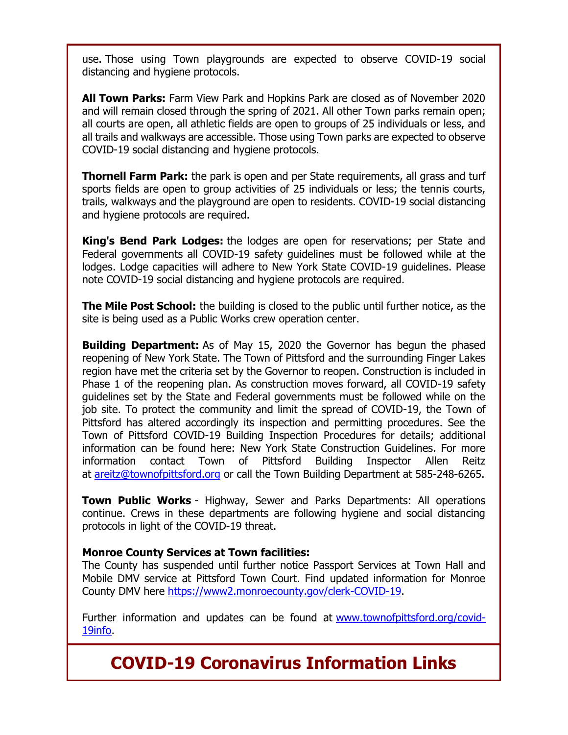use. Those using Town playgrounds are expected to observe COVID-19 social distancing and hygiene protocols.

**All Town Parks:** Farm View Park and Hopkins Park are closed as of November 2020 and will remain closed through the spring of 2021. All other Town parks remain open; all courts are open, all athletic fields are open to groups of 25 individuals or less, and all trails and walkways are accessible. Those using Town parks are expected to observe COVID-19 social distancing and hygiene protocols.

**Thornell Farm Park:** the park is open and per State requirements, all grass and turf sports fields are open to group activities of 25 individuals or less; the tennis courts, trails, walkways and the playground are open to residents. COVID-19 social distancing and hygiene protocols are required.

**King's Bend Park Lodges:** the lodges are open for reservations; per State and Federal governments all COVID-19 safety guidelines must be followed while at the lodges. Lodge capacities will adhere to New York State COVID-19 guidelines. Please note COVID-19 social distancing and hygiene protocols are required.

**The Mile Post School:** the building is closed to the public until further notice, as the site is being used as a Public Works crew operation center.

**Building Department:** As of May 15, 2020 the Governor has begun the phased reopening of New York State. The Town of Pittsford and the surrounding Finger Lakes region have met the criteria set by the Governor to reopen. Construction is included in Phase 1 of the reopening plan. As construction moves forward, all COVID-19 safety guidelines set by the State and Federal governments must be followed while on the job site. To protect the community and limit the spread of COVID-19, the Town of Pittsford has altered accordingly its inspection and permitting procedures. See the Town of Pittsford COVID-19 Building Inspection Procedures for details; additional information can be found here: New York State Construction Guidelines. For more information contact Town of Pittsford Building Inspector Allen Reitz at [areitz@townofpittsford.org](mailto:areitz@townofpittsford.org?subject=COVID-19%20Construciton%20Information) or call the Town Building Department at 585-248-6265.

**Town Public Works** - Highway, Sewer and Parks Departments: All operations continue. Crews in these departments are following hygiene and social distancing protocols in light of the COVID-19 threat.

#### **Monroe County Services at Town facilities:**

The County has suspended until further notice Passport Services at Town Hall and Mobile DMV service at Pittsford Town Court. Find updated information for Monroe County DMV here [https://www2.monroecounty.gov/clerk-COVID-19.](http://r20.rs6.net/tn.jsp?f=001NYI16H4snqhSzTAp5nrnPiHRTCTrTwaiMoQF4j0Bp5k0JETJFHYQRHcqJ2ZMsV0BSq10gdYPVMqNQduS7fgJfZGe9sxShf3ASO1LrB8-Kw15DKnmNHy0dqoJ1_brC1z81xJKKQEgl5HCLpwre1AEGNawQX3h8SuHJlrgJw4TMQw=&c=ykit7nPXPIJyr3tK9sNR2fIebVmLCzJda29hAUs83d7SOl7OzWwXfQ==&ch=6I7oEkQO8kfUmttsr_CP-pqPsRKEqycufyOaF31MyBgKFWJD_3ZUSQ==&jrc=1)

Further information and updates can be found at [www.townofpittsford.org/covid-](http://r20.rs6.net/tn.jsp?f=001NYI16H4snqhSzTAp5nrnPiHRTCTrTwaiMoQF4j0Bp5k0JETJFHYQRAkQ3hknvmdTV_4IMgrAW2T5VvgbQxuHuchoA5yZy1hINkL-YaXzju6x_4v0uxJew8s6v1hTflht4xl6iHaKTvbXSmrV7X6B7TL73vlmea2dZEHEs8AREXU=&c=ykit7nPXPIJyr3tK9sNR2fIebVmLCzJda29hAUs83d7SOl7OzWwXfQ==&ch=6I7oEkQO8kfUmttsr_CP-pqPsRKEqycufyOaF31MyBgKFWJD_3ZUSQ==&jrc=1)[19info.](http://r20.rs6.net/tn.jsp?f=001NYI16H4snqhSzTAp5nrnPiHRTCTrTwaiMoQF4j0Bp5k0JETJFHYQRAkQ3hknvmdTV_4IMgrAW2T5VvgbQxuHuchoA5yZy1hINkL-YaXzju6x_4v0uxJew8s6v1hTflht4xl6iHaKTvbXSmrV7X6B7TL73vlmea2dZEHEs8AREXU=&c=ykit7nPXPIJyr3tK9sNR2fIebVmLCzJda29hAUs83d7SOl7OzWwXfQ==&ch=6I7oEkQO8kfUmttsr_CP-pqPsRKEqycufyOaF31MyBgKFWJD_3ZUSQ==&jrc=1)

# **COVID-19 Coronavirus Information Links**